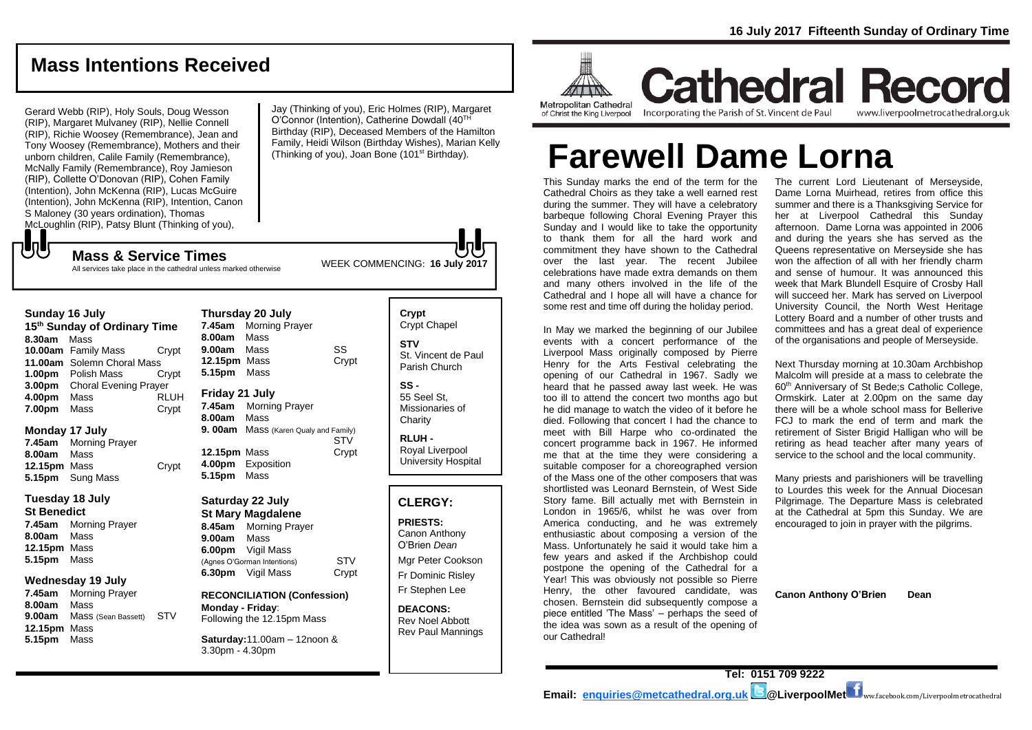# **Mass Intentions Received**

Gerard Webb (RIP), Holy Souls, Doug Wesson (RIP), Margaret Mulvaney (RIP), Nellie Connell (RIP), Richie Woosey (Remembrance), Jean and Tony Woosey (Remembrance), Mothers and their unborn children, Calile Family (Remembrance), McNally Family (Remembrance), Roy Jamieson (RIP), Collette O'Donovan (RIP), Cohen Family (Intention), John McKenna (RIP), Lucas McGuire (Intention), John McKenna (RIP), Intention, Canon S Maloney (30 years ordination), Thomas McLoughlin (RIP), Patsy Blunt (Thinking of you),

Jay (Thinking of you), Eric Holmes (RIP), Margaret O'Connor (Intention), Catherine Dowdall (40TH Birthday (RIP), Deceased Members of the Hamilton Family, Heidi Wilson (Birthday Wishes), Marian Kelly (Thinking of you), Joan Bone (101st Birthday).

WEEK COMMENCING: **16 July 2017 Mass & Service Times** All services take place in the cathedral unless marked otherwise

#### **Sunday 16 July**

もし

**15th Sunday of Ordinary Time 8.30am** Mass **10.00am** Family Mass Crypt **11.00am** Solemn Choral Mass **1.00pm** Polish Mass Crypt **3.00pm** Choral Evening Prayer **4.00pm** Mass RLUH **7.00pm** Mass Crypt

#### **Monday 17 July**

**7.45am** Morning Prayer **8.00am** Mass **12.15pm** Mass Crypt **5.15pm** Sung Mass

#### **Tuesday 18 July**

**St Benedict 7.45am** Morning Prayer **8.00am** Mass **12.15pm** Mass **5.15pm** Mass

#### **Wednesday 19 July**

**7.45am** Morning Prayer **8.00am** Mass **9.00am** Mass (Sean Bassett) STV **12.15pm** Mass **5.15pm** Mass

|                     | Thursday zu July                      |       |
|---------------------|---------------------------------------|-------|
| 7.45am              | <b>Morning Prayer</b>                 |       |
| 8.00am Mass         |                                       |       |
| 9.00am Mass         |                                       | SS    |
| <b>12.15pm</b> Mass |                                       | Crypt |
| 5.15pm Mass         |                                       |       |
| Friday 21 July      |                                       |       |
|                     | 7.45am Morning Prayer                 |       |
| 8.00am Mass         |                                       |       |
|                     | 9. 00am Mass (Karen Qualy and Family) |       |
|                     |                                       | STV   |
| 12.15pm Mass        |                                       | Crypt |
|                     | 4.00pm Exposition                     |       |
| 5.15pm Mass         |                                       |       |

### **Saturday 22 July**

**Thursday 20 July**

**St Mary Magdalene 8.45am** Morning Prayer **9.00am** Mass **6.00pm** Vigil Mass (Agnes O'Gorman Intentions) STV **6.30pm** Vigil Mass Crypt

**RECONCILIATION (Confession) Monday - Friday**: Following the 12.15pm Mass

**Saturday:**11.00am – 12noon & 3.30pm - 4.30pm

| Crypt<br><b>Crypt Chapel</b>                |
|---------------------------------------------|
| STV<br>St. Vincent de Paul<br>Parish Church |
| SS                                          |

55 Seel St, Missionaries of **Charity** 

**RLUH -** Royal Liverpool University Hospital

### **CLERGY:**

**PRIESTS:** Canon Anthony O'Brien *Dean*

Mgr Peter Cookson Fr Dominic Risley Fr Stephen Lee

**DEACONS:** Rev Noel Abbott Rev Paul Mannings



**Cathedral Record** Incorporating the Parish of St. Vincent de Paul www.liverpoolmetrocathedral.org.uk

**Farewell Dame Lorna**

This Sunday marks the end of the term for the Cathedral Choirs as they take a well earned rest during the summer. They will have a celebratory barbeque following Choral Evening Prayer this Sunday and I would like to take the opportunity to thank them for all the hard work and commitment they have shown to the Cathedral over the last year. The recent Jubilee celebrations have made extra demands on them and many others involved in the life of the Cathedral and I hope all will have a chance for some rest and time off during the holiday period.

In May we marked the beginning of our Jubilee events with a concert performance of the Liverpool Mass originally composed by Pierre Henry for the Arts Festival celebrating the opening of our Cathedral in 1967. Sadly we heard that he passed away last week. He was too ill to attend the concert two months ago but he did manage to watch the video of it before he died. Following that concert I had the chance to meet with Bill Harpe who co-ordinated the concert programme back in 1967. He informed me that at the time they were considering a suitable composer for a choreographed version of the Mass one of the other composers that was shortlisted was Leonard Bernstein, of West Side Story fame. Bill actually met with Bernstein in London in 1965/6, whilst he was over from America conducting, and he was extremely enthusiastic about composing a version of the Mass. Unfortunately he said it would take him a few years and asked if the Archbishop could postpone the opening of the Cathedral for a Year! This was obviously not possible so Pierre Henry, the other favoured candidate, was chosen. Bernstein did subsequently compose a piece entitled 'The Mass' – perhaps the seed of the idea was sown as a result of the opening of our Cathedral!

The current Lord Lieutenant of Merseyside, Dame Lorna Muirhead, retires from office this summer and there is a Thanksgiving Service for her at Liverpool Cathedral this Sunday afternoon. Dame Lorna was appointed in 2006 and during the years she has served as the Queens representative on Merseyside she has won the affection of all with her friendly charm and sense of humour. It was announced this week that Mark Blundell Esquire of Crosby Hall will succeed her. Mark has served on Liverpool University Council, the North West Heritage Lottery Board and a number of other trusts and committees and has a great deal of experience of the organisations and people of Merseyside.

Next Thursday morning at 10.30am Archbishop Malcolm will preside at a mass to celebrate the 60<sup>th</sup> Anniversary of St Bede; SCatholic College, Ormskirk. Later at 2.00pm on the same day there will be a whole school mass for Bellerive FCJ to mark the end of term and mark the retirement of Sister Brigid Halligan who will be retiring as head teacher after many years of service to the school and the local community.

Many priests and parishioners will be travelling to Lourdes this week for the Annual Diocesan Pilgrimage. The Departure Mass is celebrated at the Cathedral at 5pm this Sunday. We are encouraged to join in prayer with the pilgrims.

**Canon Anthony O'Brien Dean**